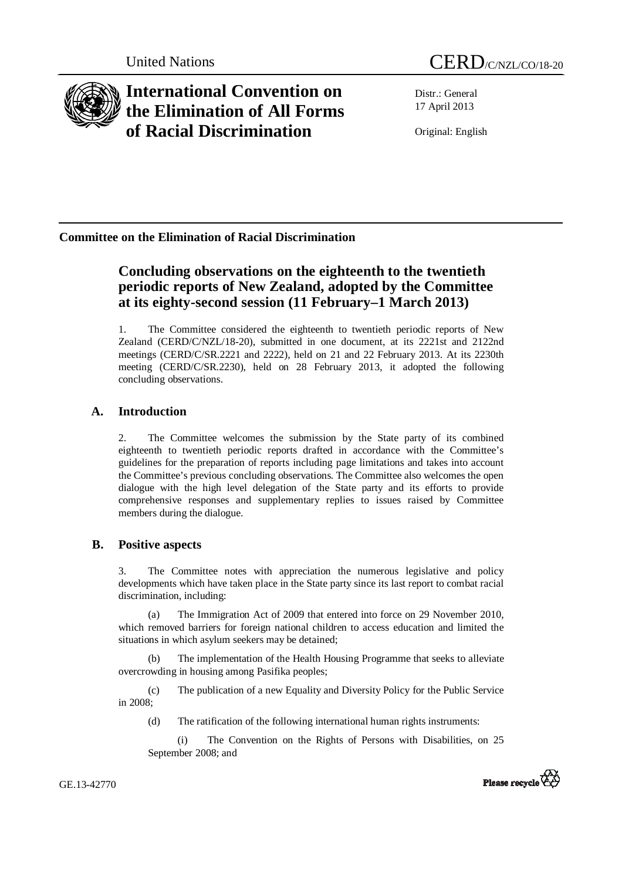

# **International Convention on the Elimination of All Forms of Racial Discrimination**

Distr.: General 17 April 2013

Original: English

# **Committee on the Elimination of Racial Discrimination**

# **Concluding observations on the eighteenth to the twentieth periodic reports of New Zealand, adopted by the Committee at its eighty-second session (11 February–1 March 2013)**

1. The Committee considered the eighteenth to twentieth periodic reports of New Zealand (CERD/C/NZL/18-20), submitted in one document, at its 2221st and 2122nd meetings (CERD/C/SR.2221 and 2222), held on 21 and 22 February 2013. At its 2230th meeting (CERD/C/SR.2230), held on 28 February 2013, it adopted the following concluding observations.

## **A. Introduction**

2. The Committee welcomes the submission by the State party of its combined eighteenth to twentieth periodic reports drafted in accordance with the Committee's guidelines for the preparation of reports including page limitations and takes into account the Committee's previous concluding observations. The Committee also welcomes the open dialogue with the high level delegation of the State party and its efforts to provide comprehensive responses and supplementary replies to issues raised by Committee members during the dialogue.

## **B. Positive aspects**

3. The Committee notes with appreciation the numerous legislative and policy developments which have taken place in the State party since its last report to combat racial discrimination, including:

(a) The Immigration Act of 2009 that entered into force on 29 November 2010, which removed barriers for foreign national children to access education and limited the situations in which asylum seekers may be detained;

(b) The implementation of the Health Housing Programme that seeks to alleviate overcrowding in housing among Pasifika peoples;

(c) The publication of a new Equality and Diversity Policy for the Public Service in 2008;

(d) The ratification of the following international human rights instruments:

(i) The Convention on the Rights of Persons with Disabilities, on 25 September 2008; and

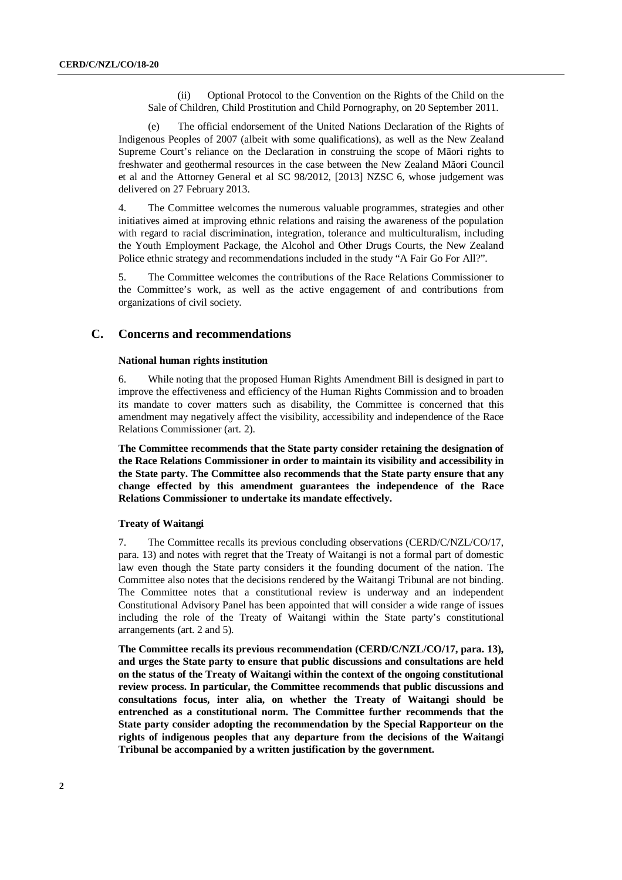(ii) Optional Protocol to the Convention on the Rights of the Child on the Sale of Children, Child Prostitution and Child Pornography, on 20 September 2011.

(e) The official endorsement of the United Nations Declaration of the Rights of Indigenous Peoples of 2007 (albeit with some qualifications), as well as the New Zealand Supreme Court's reliance on the Declaration in construing the scope of Mãori rights to freshwater and geothermal resources in the case between the New Zealand Mãori Council et al and the Attorney General et al SC 98/2012, [2013] NZSC 6, whose judgement was delivered on 27 February 2013.

4. The Committee welcomes the numerous valuable programmes, strategies and other initiatives aimed at improving ethnic relations and raising the awareness of the population with regard to racial discrimination, integration, tolerance and multiculturalism, including the Youth Employment Package, the Alcohol and Other Drugs Courts, the New Zealand Police ethnic strategy and recommendations included in the study "A Fair Go For All?".

5. The Committee welcomes the contributions of the Race Relations Commissioner to the Committee's work, as well as the active engagement of and contributions from organizations of civil society.

## **C. Concerns and recommendations**

#### **National human rights institution**

6. While noting that the proposed Human Rights Amendment Bill is designed in part to improve the effectiveness and efficiency of the Human Rights Commission and to broaden its mandate to cover matters such as disability, the Committee is concerned that this amendment may negatively affect the visibility, accessibility and independence of the Race Relations Commissioner (art. 2).

**The Committee recommends that the State party consider retaining the designation of the Race Relations Commissioner in order to maintain its visibility and accessibility in the State party. The Committee also recommends that the State party ensure that any change effected by this amendment guarantees the independence of the Race Relations Commissioner to undertake its mandate effectively.** 

#### **Treaty of Waitangi**

7. The Committee recalls its previous concluding observations (CERD/C/NZL/CO/17, para. 13) and notes with regret that the Treaty of Waitangi is not a formal part of domestic law even though the State party considers it the founding document of the nation. The Committee also notes that the decisions rendered by the Waitangi Tribunal are not binding. The Committee notes that a constitutional review is underway and an independent Constitutional Advisory Panel has been appointed that will consider a wide range of issues including the role of the Treaty of Waitangi within the State party's constitutional arrangements (art. 2 and 5).

**The Committee recalls its previous recommendation (CERD/C/NZL/CO/17, para. 13), and urges the State party to ensure that public discussions and consultations are held on the status of the Treaty of Waitangi within the context of the ongoing constitutional review process. In particular, the Committee recommends that public discussions and consultations focus, inter alia, on whether the Treaty of Waitangi should be entrenched as a constitutional norm. The Committee further recommends that the State party consider adopting the recommendation by the Special Rapporteur on the rights of indigenous peoples that any departure from the decisions of the Waitangi Tribunal be accompanied by a written justification by the government.**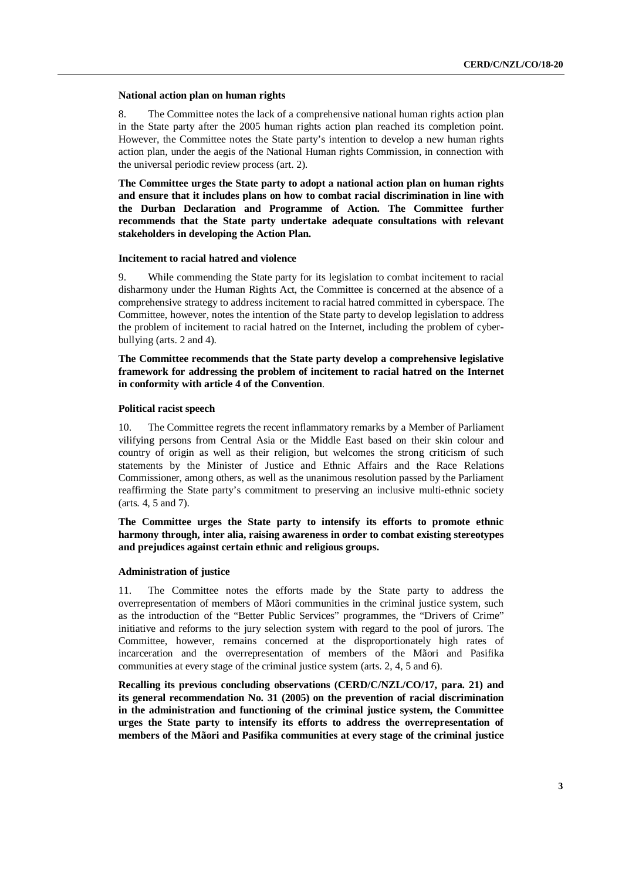#### **National action plan on human rights**

8. The Committee notes the lack of a comprehensive national human rights action plan in the State party after the 2005 human rights action plan reached its completion point. However, the Committee notes the State party's intention to develop a new human rights action plan, under the aegis of the National Human rights Commission, in connection with the universal periodic review process (art. 2).

**The Committee urges the State party to adopt a national action plan on human rights and ensure that it includes plans on how to combat racial discrimination in line with the Durban Declaration and Programme of Action. The Committee further recommends that the State party undertake adequate consultations with relevant stakeholders in developing the Action Plan.** 

#### **Incitement to racial hatred and violence**

9. While commending the State party for its legislation to combat incitement to racial disharmony under the Human Rights Act, the Committee is concerned at the absence of a comprehensive strategy to address incitement to racial hatred committed in cyberspace. The Committee, however, notes the intention of the State party to develop legislation to address the problem of incitement to racial hatred on the Internet, including the problem of cyberbullying (arts. 2 and 4).

**The Committee recommends that the State party develop a comprehensive legislative framework for addressing the problem of incitement to racial hatred on the Internet in conformity with article 4 of the Convention**.

#### **Political racist speech**

10. The Committee regrets the recent inflammatory remarks by a Member of Parliament vilifying persons from Central Asia or the Middle East based on their skin colour and country of origin as well as their religion, but welcomes the strong criticism of such statements by the Minister of Justice and Ethnic Affairs and the Race Relations Commissioner, among others, as well as the unanimous resolution passed by the Parliament reaffirming the State party's commitment to preserving an inclusive multi-ethnic society (arts. 4, 5 and 7).

**The Committee urges the State party to intensify its efforts to promote ethnic harmony through, inter alia, raising awareness in order to combat existing stereotypes and prejudices against certain ethnic and religious groups.** 

#### **Administration of justice**

11. The Committee notes the efforts made by the State party to address the overrepresentation of members of Mãori communities in the criminal justice system, such as the introduction of the "Better Public Services" programmes, the "Drivers of Crime" initiative and reforms to the jury selection system with regard to the pool of jurors. The Committee, however, remains concerned at the disproportionately high rates of incarceration and the overrepresentation of members of the Mãori and Pasifika communities at every stage of the criminal justice system (arts. 2, 4, 5 and 6).

**Recalling its previous concluding observations (CERD/C/NZL/CO/17, para. 21) and its general recommendation No. 31 (2005) on the prevention of racial discrimination in the administration and functioning of the criminal justice system, the Committee urges the State party to intensify its efforts to address the overrepresentation of members of the Mãori and Pasifika communities at every stage of the criminal justice**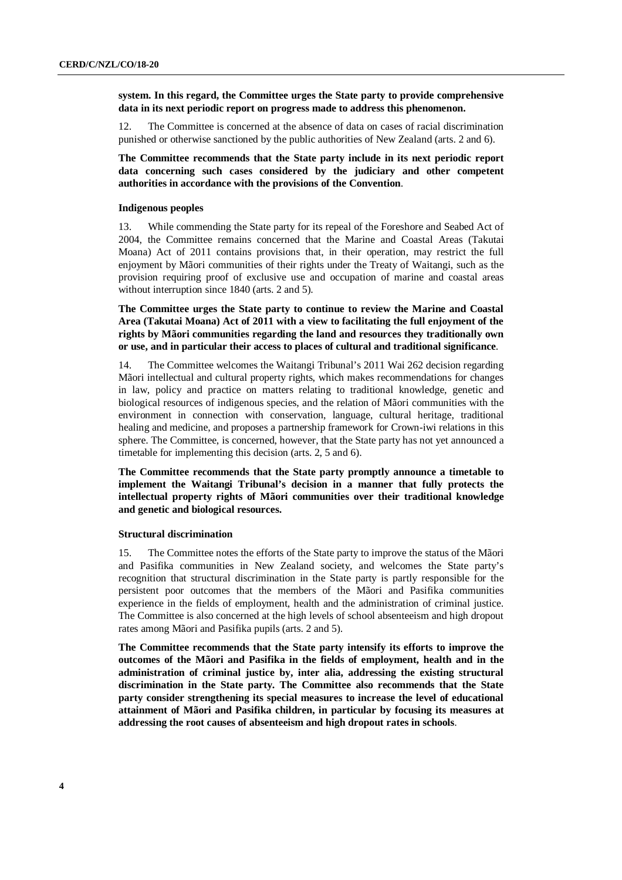**system. In this regard, the Committee urges the State party to provide comprehensive data in its next periodic report on progress made to address this phenomenon.** 

12. The Committee is concerned at the absence of data on cases of racial discrimination punished or otherwise sanctioned by the public authorities of New Zealand (arts. 2 and 6).

**The Committee recommends that the State party include in its next periodic report data concerning such cases considered by the judiciary and other competent authorities in accordance with the provisions of the Convention**.

#### **Indigenous peoples**

13. While commending the State party for its repeal of the Foreshore and Seabed Act of 2004, the Committee remains concerned that the Marine and Coastal Areas (Takutai Moana) Act of 2011 contains provisions that, in their operation, may restrict the full enjoyment by Mãori communities of their rights under the Treaty of Waitangi, such as the provision requiring proof of exclusive use and occupation of marine and coastal areas without interruption since 1840 (arts. 2 and 5).

**The Committee urges the State party to continue to review the Marine and Coastal Area (Takutai Moana) Act of 2011 with a view to facilitating the full enjoyment of the rights by Mãori communities regarding the land and resources they traditionally own or use, and in particular their access to places of cultural and traditional significance**.

14. The Committee welcomes the Waitangi Tribunal's 2011 Wai 262 decision regarding Mãori intellectual and cultural property rights, which makes recommendations for changes in law, policy and practice on matters relating to traditional knowledge, genetic and biological resources of indigenous species, and the relation of Mãori communities with the environment in connection with conservation, language, cultural heritage, traditional healing and medicine, and proposes a partnership framework for Crown-iwi relations in this sphere. The Committee, is concerned, however, that the State party has not yet announced a timetable for implementing this decision (arts. 2, 5 and 6).

**The Committee recommends that the State party promptly announce a timetable to implement the Waitangi Tribunal's decision in a manner that fully protects the intellectual property rights of Mãori communities over their traditional knowledge and genetic and biological resources.** 

#### **Structural discrimination**

15. The Committee notes the efforts of the State party to improve the status of the Mãori and Pasifika communities in New Zealand society, and welcomes the State party's recognition that structural discrimination in the State party is partly responsible for the persistent poor outcomes that the members of the Mãori and Pasifika communities experience in the fields of employment, health and the administration of criminal justice. The Committee is also concerned at the high levels of school absenteeism and high dropout rates among Mãori and Pasifika pupils (arts. 2 and 5).

**The Committee recommends that the State party intensify its efforts to improve the outcomes of the Mãori and Pasifika in the fields of employment, health and in the administration of criminal justice by, inter alia, addressing the existing structural discrimination in the State party. The Committee also recommends that the State party consider strengthening its special measures to increase the level of educational attainment of Mãori and Pasifika children, in particular by focusing its measures at addressing the root causes of absenteeism and high dropout rates in schools**.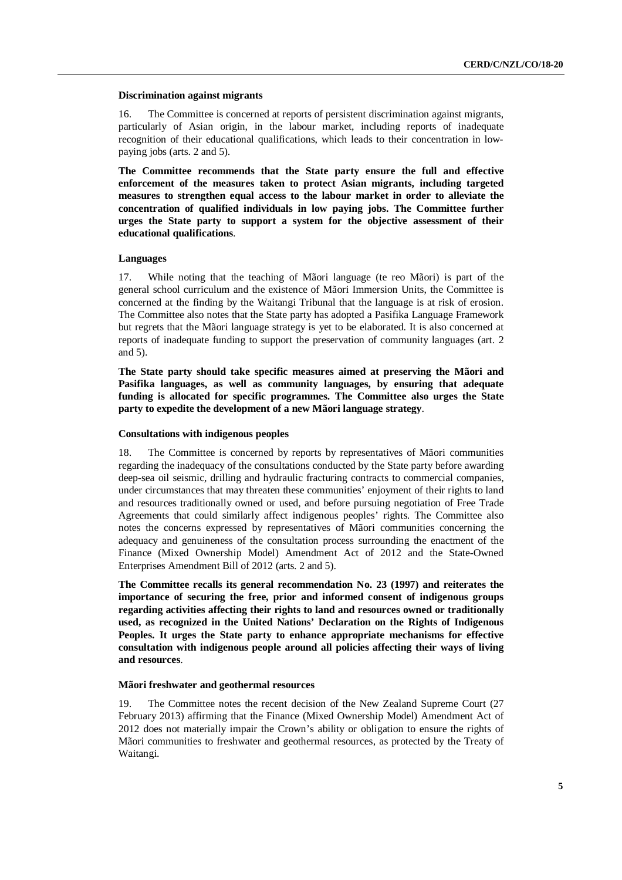#### **Discrimination against migrants**

16. The Committee is concerned at reports of persistent discrimination against migrants, particularly of Asian origin, in the labour market, including reports of inadequate recognition of their educational qualifications, which leads to their concentration in lowpaying jobs (arts. 2 and 5).

**The Committee recommends that the State party ensure the full and effective enforcement of the measures taken to protect Asian migrants, including targeted measures to strengthen equal access to the labour market in order to alleviate the concentration of qualified individuals in low paying jobs. The Committee further urges the State party to support a system for the objective assessment of their educational qualifications**.

#### **Languages**

17. While noting that the teaching of Mãori language (te reo Mãori) is part of the general school curriculum and the existence of Mãori Immersion Units, the Committee is concerned at the finding by the Waitangi Tribunal that the language is at risk of erosion. The Committee also notes that the State party has adopted a Pasifika Language Framework but regrets that the Mãori language strategy is yet to be elaborated. It is also concerned at reports of inadequate funding to support the preservation of community languages (art. 2 and 5).

**The State party should take specific measures aimed at preserving the Mãori and Pasifika languages, as well as community languages, by ensuring that adequate funding is allocated for specific programmes. The Committee also urges the State party to expedite the development of a new Mãori language strategy**.

#### **Consultations with indigenous peoples**

18. The Committee is concerned by reports by representatives of Mãori communities regarding the inadequacy of the consultations conducted by the State party before awarding deep-sea oil seismic, drilling and hydraulic fracturing contracts to commercial companies, under circumstances that may threaten these communities' enjoyment of their rights to land and resources traditionally owned or used, and before pursuing negotiation of Free Trade Agreements that could similarly affect indigenous peoples' rights. The Committee also notes the concerns expressed by representatives of Mãori communities concerning the adequacy and genuineness of the consultation process surrounding the enactment of the Finance (Mixed Ownership Model) Amendment Act of 2012 and the State-Owned Enterprises Amendment Bill of 2012 (arts. 2 and 5).

**The Committee recalls its general recommendation No. 23 (1997) and reiterates the importance of securing the free, prior and informed consent of indigenous groups regarding activities affecting their rights to land and resources owned or traditionally used, as recognized in the United Nations' Declaration on the Rights of Indigenous Peoples. It urges the State party to enhance appropriate mechanisms for effective consultation with indigenous people around all policies affecting their ways of living and resources**.

#### **Mãori freshwater and geothermal resources**

19. The Committee notes the recent decision of the New Zealand Supreme Court (27 February 2013) affirming that the Finance (Mixed Ownership Model) Amendment Act of 2012 does not materially impair the Crown's ability or obligation to ensure the rights of Mãori communities to freshwater and geothermal resources, as protected by the Treaty of Waitangi.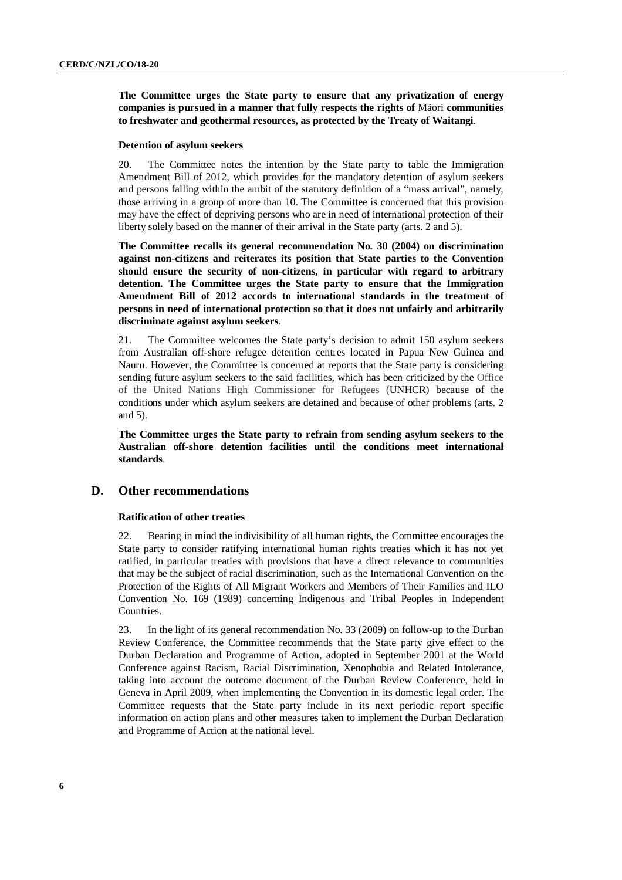**The Committee urges the State party to ensure that any privatization of energy companies is pursued in a manner that fully respects the rights of** Mãori **communities to freshwater and geothermal resources, as protected by the Treaty of Waitangi**.

#### **Detention of asylum seekers**

20. The Committee notes the intention by the State party to table the Immigration Amendment Bill of 2012, which provides for the mandatory detention of asylum seekers and persons falling within the ambit of the statutory definition of a "mass arrival", namely, those arriving in a group of more than 10. The Committee is concerned that this provision may have the effect of depriving persons who are in need of international protection of their liberty solely based on the manner of their arrival in the State party (arts. 2 and 5).

**The Committee recalls its general recommendation No. 30 (2004) on discrimination against non-citizens and reiterates its position that State parties to the Convention should ensure the security of non-citizens, in particular with regard to arbitrary detention. The Committee urges the State party to ensure that the Immigration Amendment Bill of 2012 accords to international standards in the treatment of persons in need of international protection so that it does not unfairly and arbitrarily discriminate against asylum seekers**.

21. The Committee welcomes the State party's decision to admit 150 asylum seekers from Australian off-shore refugee detention centres located in Papua New Guinea and Nauru. However, the Committee is concerned at reports that the State party is considering sending future asylum seekers to the said facilities, which has been criticized by the Office of the United Nations High Commissioner for Refugees (UNHCR) because of the conditions under which asylum seekers are detained and because of other problems (arts. 2 and 5).

**The Committee urges the State party to refrain from sending asylum seekers to the Australian off-shore detention facilities until the conditions meet international standards**.

## **D. Other recommendations**

#### **Ratification of other treaties**

22. Bearing in mind the indivisibility of all human rights, the Committee encourages the State party to consider ratifying international human rights treaties which it has not yet ratified, in particular treaties with provisions that have a direct relevance to communities that may be the subject of racial discrimination, such as the International Convention on the Protection of the Rights of All Migrant Workers and Members of Their Families and ILO Convention No. 169 (1989) concerning Indigenous and Tribal Peoples in Independent Countries.

23. In the light of its general recommendation No. 33 (2009) on follow-up to the Durban Review Conference, the Committee recommends that the State party give effect to the Durban Declaration and Programme of Action, adopted in September 2001 at the World Conference against Racism, Racial Discrimination, Xenophobia and Related Intolerance, taking into account the outcome document of the Durban Review Conference, held in Geneva in April 2009, when implementing the Convention in its domestic legal order. The Committee requests that the State party include in its next periodic report specific information on action plans and other measures taken to implement the Durban Declaration and Programme of Action at the national level.